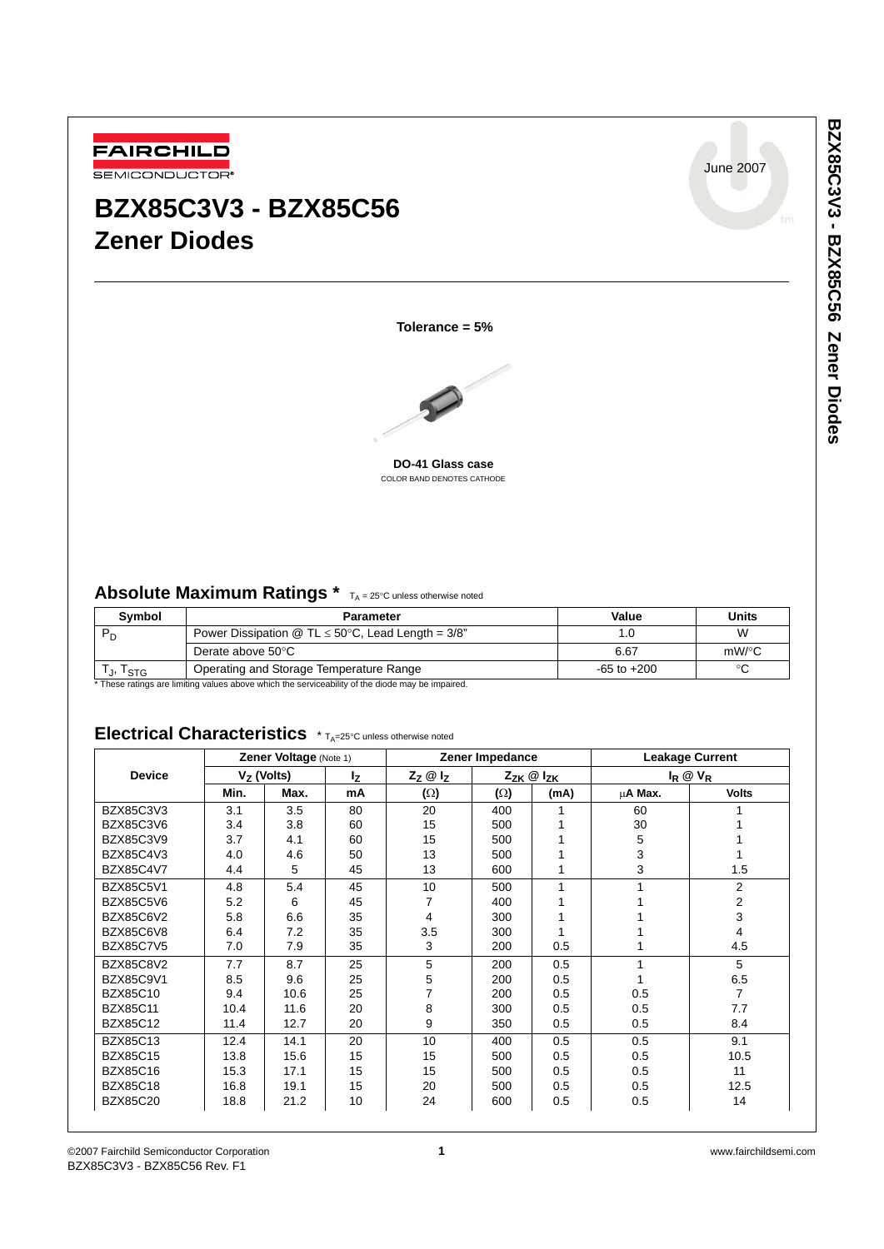

# **BZX85C3V3 - BZX85C56 Zener Diodes**

June 2007

**Tolerance = 5%**



**DO-41 Glass case** COLOR BAND DENOTES CATHODE

# Absolute Maximum Ratings \* TA = 25°C unless otherwise noted

| <b>Symbol</b> | Parameter                                              | Value           | <b>Units</b> |
|---------------|--------------------------------------------------------|-----------------|--------------|
|               | Power Dissipation @ TL $\leq$ 50°C, Lead Length = 3/8" | .0              | W            |
|               | Derate above 50°C                                      | 6.67            | $mW$ /°C     |
| U, ISTG       | Operating and Storage Temperature Range                | $-65$ to $+200$ | $\sim$       |

\* These ratings are limiting values above which the serviceability of the diode may be impaired.

# Electrical Characteristics \* T<sub>A</sub>=25°C unless otherwise noted

|                  | Zener Voltage (Note 1) |      | Zener Impedance         |            |                         | <b>Leakage Current</b> |                   |                |
|------------------|------------------------|------|-------------------------|------------|-------------------------|------------------------|-------------------|----------------|
| <b>Device</b>    | $Vz$ (Volts)           |      | $Z_Z \otimes I_Z$<br>Ιz |            | $Z_{ZK} \otimes I_{ZK}$ |                        | $I_R \otimes V_R$ |                |
|                  | Min.                   | Max. | mA                      | $(\Omega)$ | $(\Omega)$              | (mA)                   | µA Max.           | <b>Volts</b>   |
| BZX85C3V3        | 3.1                    | 3.5  | 80                      | 20         | 400                     | 1                      | 60                |                |
| <b>BZX85C3V6</b> | 3.4                    | 3.8  | 60                      | 15         | 500                     |                        | 30                |                |
| <b>BZX85C3V9</b> | 3.7                    | 4.1  | 60                      | 15         | 500                     |                        | 5                 |                |
| <b>BZX85C4V3</b> | 4.0                    | 4.6  | 50                      | 13         | 500                     |                        | 3                 |                |
| <b>BZX85C4V7</b> | 4.4                    | 5    | 45                      | 13         | 600                     |                        | 3                 | 1.5            |
| <b>BZX85C5V1</b> | 4.8                    | 5.4  | 45                      | 10         | 500                     | 1                      |                   | 2              |
| <b>BZX85C5V6</b> | 5.2                    | 6    | 45                      | 7          | 400                     |                        |                   | 2              |
| BZX85C6V2        | 5.8                    | 6.6  | 35                      | 4          | 300                     |                        |                   | 3              |
| BZX85C6V8        | 6.4                    | 7.2  | 35                      | 3.5        | 300                     |                        |                   | 4              |
| <b>BZX85C7V5</b> | 7.0                    | 7.9  | 35                      | 3          | 200                     | 0.5                    |                   | 4.5            |
| <b>BZX85C8V2</b> | 7.7                    | 8.7  | 25                      | 5          | 200                     | 0.5                    | 1                 | 5              |
| <b>BZX85C9V1</b> | 8.5                    | 9.6  | 25                      | 5          | 200                     | 0.5                    |                   | 6.5            |
| <b>BZX85C10</b>  | 9.4                    | 10.6 | 25                      | 7          | 200                     | 0.5                    | 0.5               | $\overline{7}$ |
| <b>BZX85C11</b>  | 10.4                   | 11.6 | 20                      | 8          | 300                     | 0.5                    | 0.5               | 7.7            |
| <b>BZX85C12</b>  | 11.4                   | 12.7 | 20                      | 9          | 350                     | 0.5                    | 0.5               | 8.4            |
| <b>BZX85C13</b>  | 12.4                   | 14.1 | 20                      | 10         | 400                     | 0.5                    | 0.5               | 9.1            |
| <b>BZX85C15</b>  | 13.8                   | 15.6 | 15                      | 15         | 500                     | 0.5                    | 0.5               | 10.5           |
| <b>BZX85C16</b>  | 15.3                   | 17.1 | 15                      | 15         | 500                     | 0.5                    | 0.5               | 11             |
| <b>BZX85C18</b>  | 16.8                   | 19.1 | 15                      | 20         | 500                     | 0.5                    | 0.5               | 12.5           |
| <b>BZX85C20</b>  | 18.8                   | 21.2 | 10                      | 24         | 600                     | 0.5                    | 0.5               | 14             |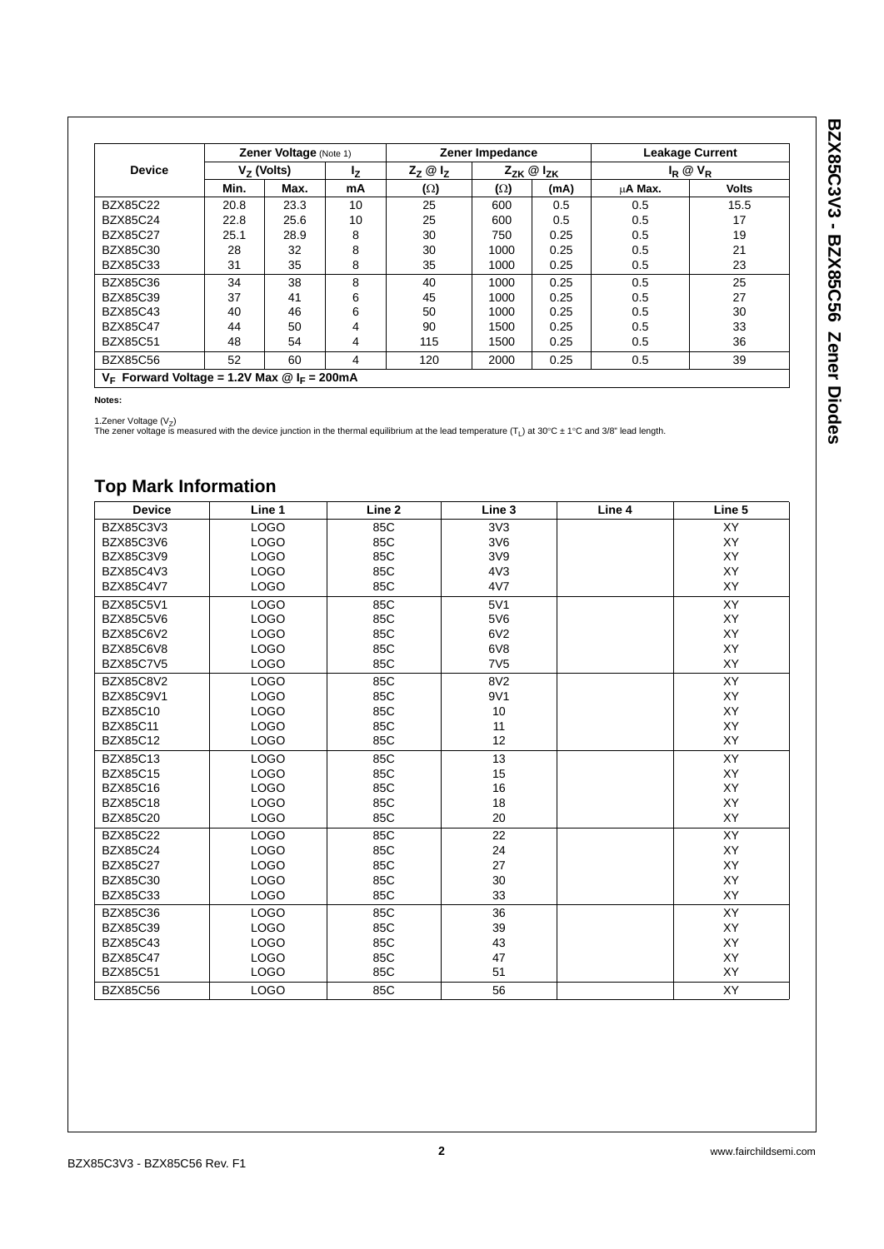| <b>Device</b>   | Zener Voltage (Note 1) |      |    | Zener Impedance      |                         |      | <b>Leakage Current</b> |              |
|-----------------|------------------------|------|----|----------------------|-------------------------|------|------------------------|--------------|
|                 | $V7$ (Volts)           |      | Ιz | $Z_7$ $\omega$ $I_7$ | $Z_{ZK} \otimes I_{ZK}$ |      | $I_R \otimes V_R$      |              |
|                 | Min.                   | Max. | mA | $(\Omega)$           | $(\Omega)$              | (mA) | μ <b>A Max.</b>        | <b>Volts</b> |
| <b>BZX85C22</b> | 20.8                   | 23.3 | 10 | 25                   | 600                     | 0.5  | 0.5                    | 15.5         |
| <b>BZX85C24</b> | 22.8                   | 25.6 | 10 | 25                   | 600                     | 0.5  | 0.5                    | 17           |
| <b>BZX85C27</b> | 25.1                   | 28.9 | 8  | 30                   | 750                     | 0.25 | 0.5                    | 19           |
| <b>BZX85C30</b> | 28                     | 32   | 8  | 30                   | 1000                    | 0.25 | 0.5                    | 21           |
| <b>BZX85C33</b> | 31                     | 35   | 8  | 35                   | 1000                    | 0.25 | 0.5                    | 23           |
| <b>BZX85C36</b> | 34                     | 38   | 8  | 40                   | 1000                    | 0.25 | 0.5                    | 25           |
| <b>BZX85C39</b> | 37                     | 41   | 6  | 45                   | 1000                    | 0.25 | 0.5                    | 27           |
| <b>BZX85C43</b> | 40                     | 46   | 6  | 50                   | 1000                    | 0.25 | 0.5                    | 30           |
| <b>BZX85C47</b> | 44                     | 50   | 4  | 90                   | 1500                    | 0.25 | 0.5                    | 33           |
| <b>BZX85C51</b> | 48                     | 54   | 4  | 115                  | 1500                    | 0.25 | 0.5                    | 36           |
| <b>BZX85C56</b> | 52                     | 60   | 4  | 120                  | 2000                    | 0.25 | 0.5                    | 39           |

**Notes:**

1.Zener Voltage (V<sub>Z</sub>)<br>The zener voltage is measured with the device junction in the thermal equilibrium at the lead temperature (T<sub>L</sub>) at 30°C ± 1°C and 3/8" lead length.

# **Top Mark Information**

| <b>Device</b>    | Line 1      | Line 2 | Line 3           | Line 4 | Line 5    |
|------------------|-------------|--------|------------------|--------|-----------|
| BZX85C3V3        | <b>LOGO</b> | 85C    | 3V3              |        | XY        |
| <b>BZX85C3V6</b> | <b>LOGO</b> | 85C    | 3V6              |        | XY        |
| BZX85C3V9        | <b>LOGO</b> | 85C    | 3V9              |        | XY        |
| BZX85C4V3        | <b>LOGO</b> | 85C    | 4V <sub>3</sub>  |        | <b>XY</b> |
| <b>BZX85C4V7</b> | <b>LOGO</b> | 85C    | 4V7              |        | <b>XY</b> |
| <b>BZX85C5V1</b> | <b>LOGO</b> | 85C    | 5V1              |        | XY        |
| <b>BZX85C5V6</b> | <b>LOGO</b> | 85C    | 5V6              |        | XY        |
| <b>BZX85C6V2</b> | <b>LOGO</b> | 85C    | 6V2              |        | XY        |
| <b>BZX85C6V8</b> | <b>LOGO</b> | 85C    | 6 <sup>V</sup> 8 |        | <b>XY</b> |
| <b>BZX85C7V5</b> | <b>LOGO</b> | 85C    | <b>7V5</b>       |        | <b>XY</b> |
| <b>BZX85C8V2</b> | <b>LOGO</b> | 85C    | 8V <sub>2</sub>  |        | XY        |
| <b>BZX85C9V1</b> | <b>LOGO</b> | 85C    | 9V1              |        | <b>XY</b> |
| <b>BZX85C10</b>  | <b>LOGO</b> | 85C    | 10               |        | XY        |
| <b>BZX85C11</b>  | <b>LOGO</b> | 85C    | 11               |        | XY        |
| <b>BZX85C12</b>  | <b>LOGO</b> | 85C    | 12               |        | <b>XY</b> |
| <b>BZX85C13</b>  | <b>LOGO</b> | 85C    | 13               |        | XY        |
| <b>BZX85C15</b>  | <b>LOGO</b> | 85C    | 15               |        | XY        |
| <b>BZX85C16</b>  | <b>LOGO</b> | 85C    | 16               |        | XY        |
| <b>BZX85C18</b>  | <b>LOGO</b> | 85C    | 18               |        | <b>XY</b> |
| <b>BZX85C20</b>  | <b>LOGO</b> | 85C    | 20               |        | XY        |
| <b>BZX85C22</b>  | <b>LOGO</b> | 85C    | 22               |        | <b>XY</b> |
| <b>BZX85C24</b>  | <b>LOGO</b> | 85C    | 24               |        | XY        |
| <b>BZX85C27</b>  | <b>LOGO</b> | 85C    | 27               |        | <b>XY</b> |
| <b>BZX85C30</b>  | <b>LOGO</b> | 85C    | 30               |        | XY        |
| <b>BZX85C33</b>  | <b>LOGO</b> | 85C    | 33               |        | <b>XY</b> |
| <b>BZX85C36</b>  | <b>LOGO</b> | 85C    | 36               |        | XY        |
| <b>BZX85C39</b>  | <b>LOGO</b> | 85C    | 39               |        | XY        |
| <b>BZX85C43</b>  | <b>LOGO</b> | 85C    | 43               |        | XY        |
| <b>BZX85C47</b>  | <b>LOGO</b> | 85C    | 47               |        | XY        |
| <b>BZX85C51</b>  | <b>LOGO</b> | 85C    | 51               |        | XY        |
| <b>BZX85C56</b>  | <b>LOGO</b> | 85C    | 56               |        | <b>XY</b> |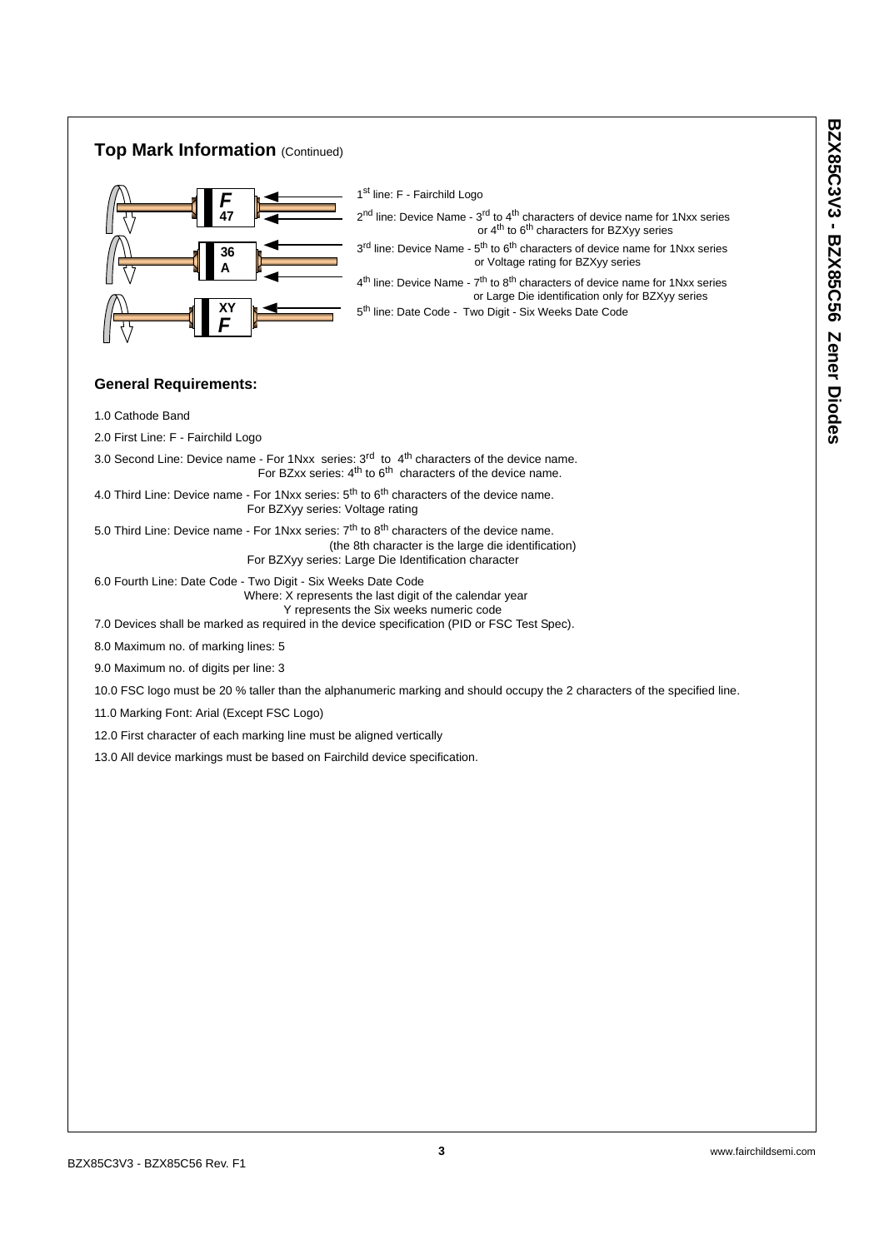## **Top Mark Information** (Continued)



1<sup>st</sup> line: F - Fairchild Logo

 $2<sup>nd</sup>$  line: Device Name -  $3<sup>rd</sup>$  to  $4<sup>th</sup>$  characters of device name for 1Nxx series or 4<sup>th</sup> to 6<sup>th</sup> characters for BZXyy series  $3<sup>rd</sup>$  line: Device Name -  $5<sup>th</sup>$  to  $6<sup>th</sup>$  characters of device name for 1Nxx series or Voltage rating for BZXyy series  $4<sup>th</sup>$  line: Device Name -  $7<sup>th</sup>$  to  $8<sup>th</sup>$  characters of device name for 1Nxx series or Large Die identification only for BZXyy series

5<sup>th</sup> line: Date Code - Two Digit - Six Weeks Date Code

### **General Requirements:**

1.0 Cathode Band

2.0 First Line: F - Fairchild Logo

3.0 Second Line: Device name - For 1Nxx series:  $3<sup>rd</sup>$  to  $4<sup>th</sup>$  characters of the device name. For BZxx series:  $4<sup>th</sup>$  to  $6<sup>th</sup>$  characters of the device name.

4.0 Third Line: Device name - For 1Nxx series:  $5<sup>th</sup>$  to  $6<sup>th</sup>$  characters of the device name. For BZXyy series: Voltage rating

5.0 Third Line: Device name - For 1Nxx series:  $7<sup>th</sup>$  to 8<sup>th</sup> characters of the device name. (the 8th character is the large die identification) For BZXyy series: Large Die Identification character

6.0 Fourth Line: Date Code - Two Digit - Six Weeks Date Code Where: X represents the last digit of the calendar year Y represents the Six weeks numeric code

7.0 Devices shall be marked as required in the device specification (PID or FSC Test Spec).

8.0 Maximum no. of marking lines: 5

9.0 Maximum no. of digits per line: 3

10.0 FSC logo must be 20 % taller than the alphanumeric marking and should occupy the 2 characters of the specified line.

11.0 Marking Font: Arial (Except FSC Logo)

12.0 First character of each marking line must be aligned vertically

13.0 All device markings must be based on Fairchild device specification.